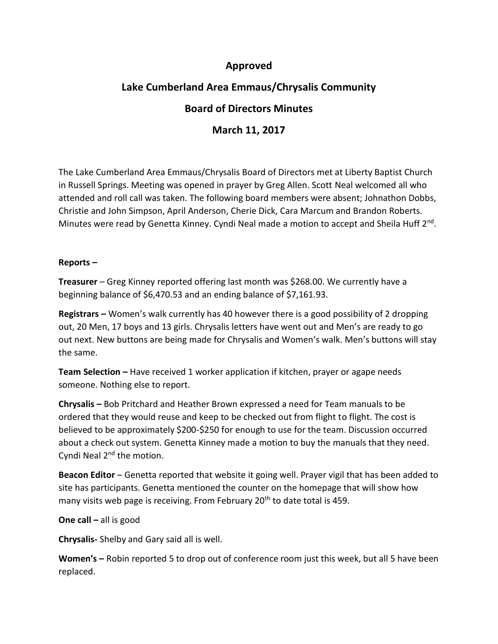## **Approved**

# **Lake Cumberland Area Emmaus/Chrysalis Community**

## **Board of Directors Minutes**

# **March 11, 2017**

The Lake Cumberland Area Emmaus/Chrysalis Board of Directors met at Liberty Baptist Church in Russell Springs. Meeting was opened in prayer by Greg Allen. Scott Neal welcomed all who attended and roll call was taken. The following board members were absent; Johnathon Dobbs, Christie and John Simpson, April Anderson, Cherie Dick, Cara Marcum and Brandon Roberts. Minutes were read by Genetta Kinney. Cyndi Neal made a motion to accept and Sheila Huff 2<sup>nd</sup>.

## **Reports –**

**Treasurer** – Greg Kinney reported offering last month was \$268.00. We currently have a beginning balance of \$6,470.53 and an ending balance of \$7,161.93.

**Registrars –** Women's walk currently has 40 however there is a good possibility of 2 dropping out, 20 Men, 17 boys and 13 girls. Chrysalis letters have went out and Men's are ready to go out next. New buttons are being made for Chrysalis and Women's walk. Men's buttons will stay the same.

**Team Selection –** Have received 1 worker application if kitchen, prayer or agape needs someone. Nothing else to report.

**Chrysalis –** Bob Pritchard and Heather Brown expressed a need for Team manuals to be ordered that they would reuse and keep to be checked out from flight to flight. The cost is believed to be approximately \$200-\$250 for enough to use for the team. Discussion occurred about a check out system. Genetta Kinney made a motion to buy the manuals that they need. Cyndi Neal 2<sup>nd</sup> the motion.

**Beacon Editor** – Genetta reported that website it going well. Prayer vigil that has been added to site has participants. Genetta mentioned the counter on the homepage that will show how many visits web page is receiving. From February  $20<sup>th</sup>$  to date total is 459.

### **One call –** all is good

**Chrysalis-** Shelby and Gary said all is well.

**Women's –** Robin reported 5 to drop out of conference room just this week, but all 5 have been replaced.